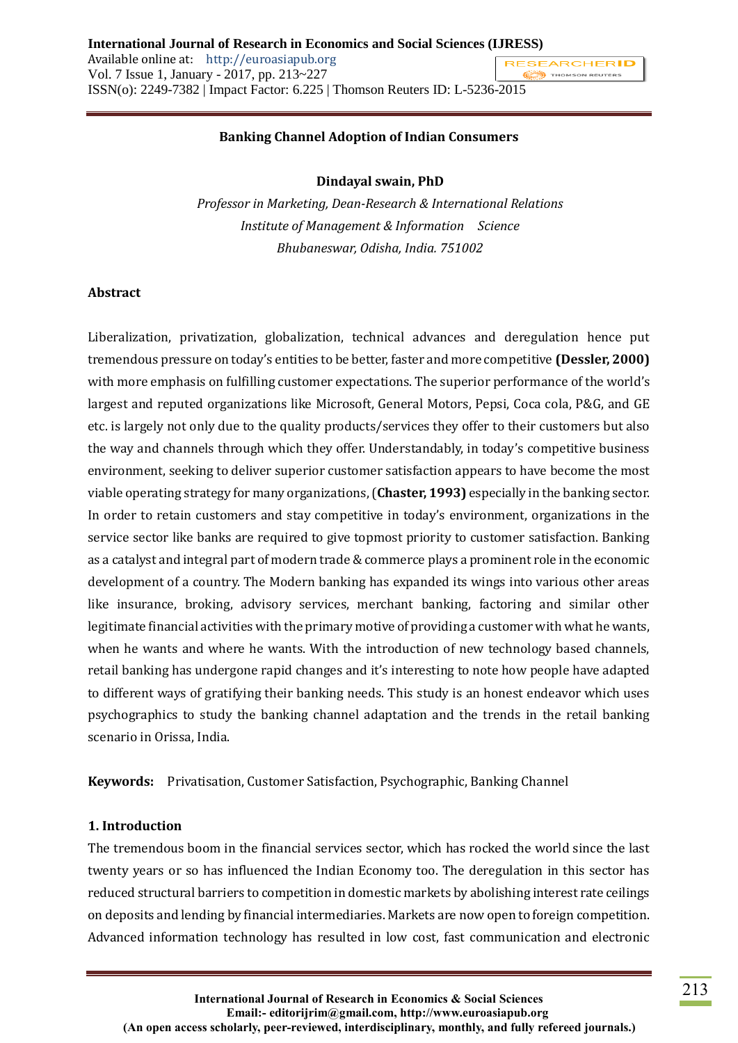#### **Banking Channel Adoption of Indian Consumers**

#### **Dindayal swain, PhD**

*Professor in Marketing, Dean-Research & International Relations Institute of Management & Information Science Bhubaneswar, Odisha, India. 751002*

#### **Abstract**

Liberalization, privatization, globalization, technical advances and deregulation hence put tremendous pressure on today's entities to be better, faster and more competitive **(Dessler, 2000)** with more emphasis on fulfilling customer expectations. The superior performance of the world's largest and reputed organizations like Microsoft, General Motors, Pepsi, Coca cola, P&G, and GE etc. is largely not only due to the quality products/services they offer to their customers but also the way and channels through which they offer. Understandably, in today's competitive business environment, seeking to deliver superior customer satisfaction appears to have become the most viable operating strategy for many organizations, (**Chaster, 1993)** especially in the banking sector. In order to retain customers and stay competitive in today's environment, organizations in the service sector like banks are required to give topmost priority to customer satisfaction. Banking as a catalyst and integral part of modern trade & commerce plays a prominent role in the economic development of a country. The Modern banking has expanded its wings into various other areas like insurance, broking, advisory services, merchant banking, factoring and similar other legitimate financial activities with the primary motive of providing a customer with what he wants, when he wants and where he wants. With the introduction of new technology based channels, retail banking has undergone rapid changes and it's interesting to note how people have adapted to different ways of gratifying their banking needs. This study is an honest endeavor which uses psychographics to study the banking channel adaptation and the trends in the retail banking scenario in Orissa, India.

**Keywords:** Privatisation, Customer Satisfaction, Psychographic, Banking Channel

#### **1. Introduction**

The tremendous boom in the financial services sector, which has rocked the world since the last twenty years or so has influenced the Indian Economy too. The deregulation in this sector has reduced structural barriers to competition in domestic markets by abolishing interest rate ceilings on deposits and lending by financial intermediaries. Markets are now open to foreign competition. Advanced information technology has resulted in low cost, fast communication and electronic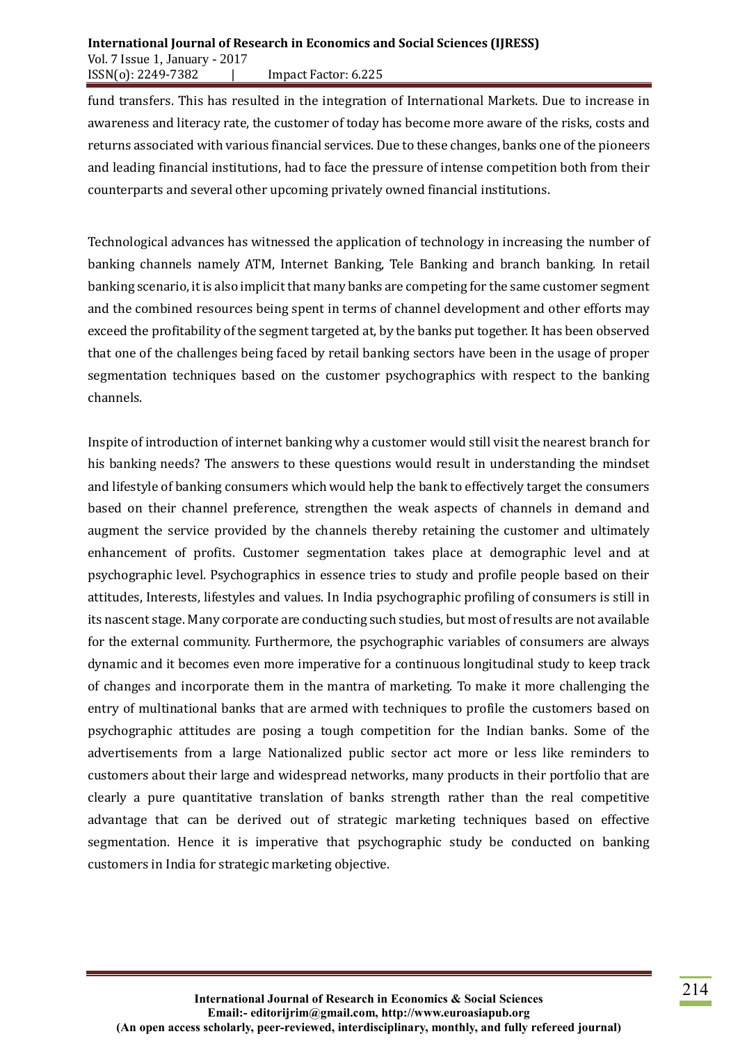#### **International Journal of Research in Economics and Social Sciences (IJRESS)** Vol. 7 Issue 1, January - 2017 ISSN(o): 2249-7382 | Impact Factor: 6.225

fund transfers. This has resulted in the integration of International Markets. Due to increase in awareness and literacy rate, the customer of today has become more aware of the risks, costs and returns associated with various financial services. Due to these changes, banks one of the pioneers and leading financial institutions, had to face the pressure of intense competition both from their counterparts and several other upcoming privately owned financial institutions.

Technological advances has witnessed the application of technology in increasing the number of banking channels namely ATM, Internet Banking, Tele Banking and branch banking. In retail banking scenario, it is also implicit that many banks are competing for the same customer segment and the combined resources being spent in terms of channel development and other efforts may exceed the profitability of the segment targeted at, by the banks put together. It has been observed that one of the challenges being faced by retail banking sectors have been in the usage of proper segmentation techniques based on the customer psychographics with respect to the banking channels.

Inspite of introduction of internet banking why a customer would still visit the nearest branch for his banking needs? The answers to these questions would result in understanding the mindset and lifestyle of banking consumers which would help the bank to effectively target the consumers based on their channel preference, strengthen the weak aspects of channels in demand and augment the service provided by the channels thereby retaining the customer and ultimately enhancement of profits. Customer segmentation takes place at demographic level and at psychographic level. Psychographics in essence tries to study and profile people based on their attitudes, Interests, lifestyles and values. In India psychographic profiling of consumers is still in its nascent stage. Many corporate are conducting such studies, but most of results are not available for the external community. Furthermore, the psychographic variables of consumers are always dynamic and it becomes even more imperative for a continuous longitudinal study to keep track of changes and incorporate them in the mantra of marketing. To make it more challenging the entry of multinational banks that are armed with techniques to profile the customers based on psychographic attitudes are posing a tough competition for the Indian banks. Some of the advertisements from a large Nationalized public sector act more or less like reminders to customers about their large and widespread networks, many products in their portfolio that are clearly a pure quantitative translation of banks strength rather than the real competitive advantage that can be derived out of strategic marketing techniques based on effective segmentation. Hence it is imperative that psychographic study be conducted on banking customers in India for strategic marketing objective.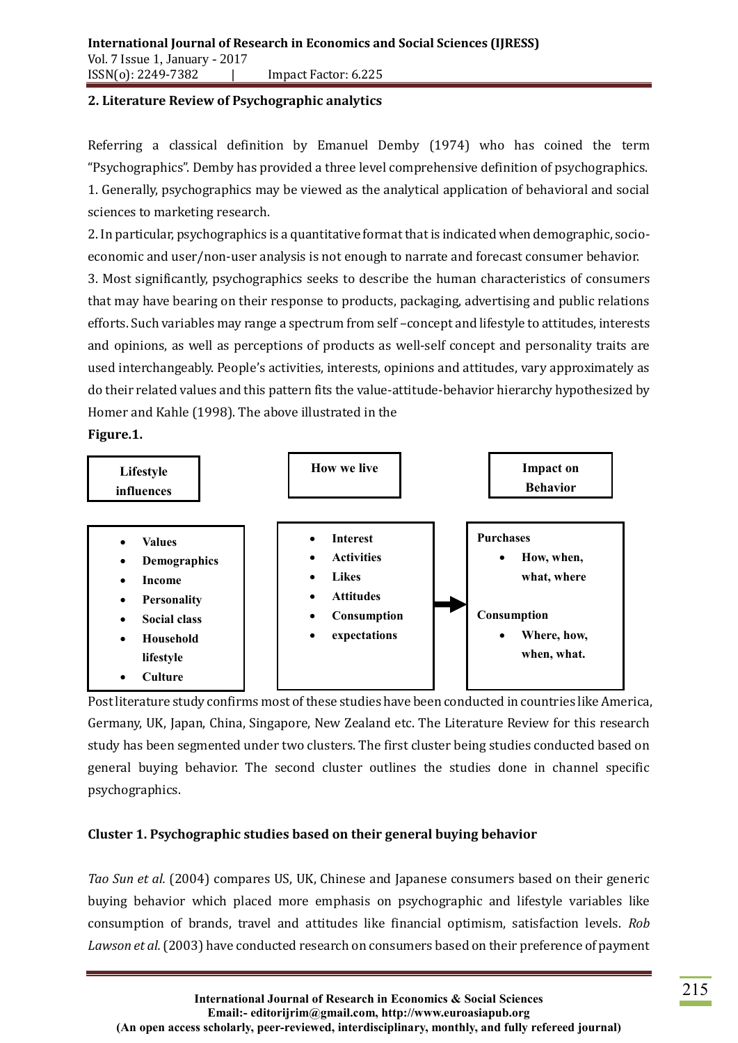#### **2. Literature Review of Psychographic analytics**

Referring a classical definition by Emanuel Demby (1974) who has coined the term "Psychographics". Demby has provided a three level comprehensive definition of psychographics. 1. Generally, psychographics may be viewed as the analytical application of behavioral and social sciences to marketing research.

2. In particular, psychographics is a quantitative format that is indicated when demographic, socioeconomic and user/non-user analysis is not enough to narrate and forecast consumer behavior.

3. Most significantly, psychographics seeks to describe the human characteristics of consumers that may have bearing on their response to products, packaging, advertising and public relations efforts. Such variables may range a spectrum from self –concept and lifestyle to attitudes, interests and opinions, as well as perceptions of products as well-self concept and personality traits are used interchangeably. People's activities, interests, opinions and attitudes, vary approximately as do their related values and this pattern fits the value-attitude-behavior hierarchy hypothesized by Homer and Kahle (1998). The above illustrated in the

**Figure.1.**



Post literature study confirms most of these studies have been conducted in countries like America, Germany, UK, Japan, China, Singapore, New Zealand etc. The Literature Review for this research study has been segmented under two clusters. The first cluster being studies conducted based on general buying behavior. The second cluster outlines the studies done in channel specific psychographics.

## **Cluster 1. Psychographic studies based on their general buying behavior**

*Tao Sun et al.* (2004) compares US, UK, Chinese and Japanese consumers based on their generic buying behavior which placed more emphasis on psychographic and lifestyle variables like consumption of brands, travel and attitudes like financial optimism, satisfaction levels. *Rob*  Lawson et al. (2003) have conducted research on consumers based on their preference of payment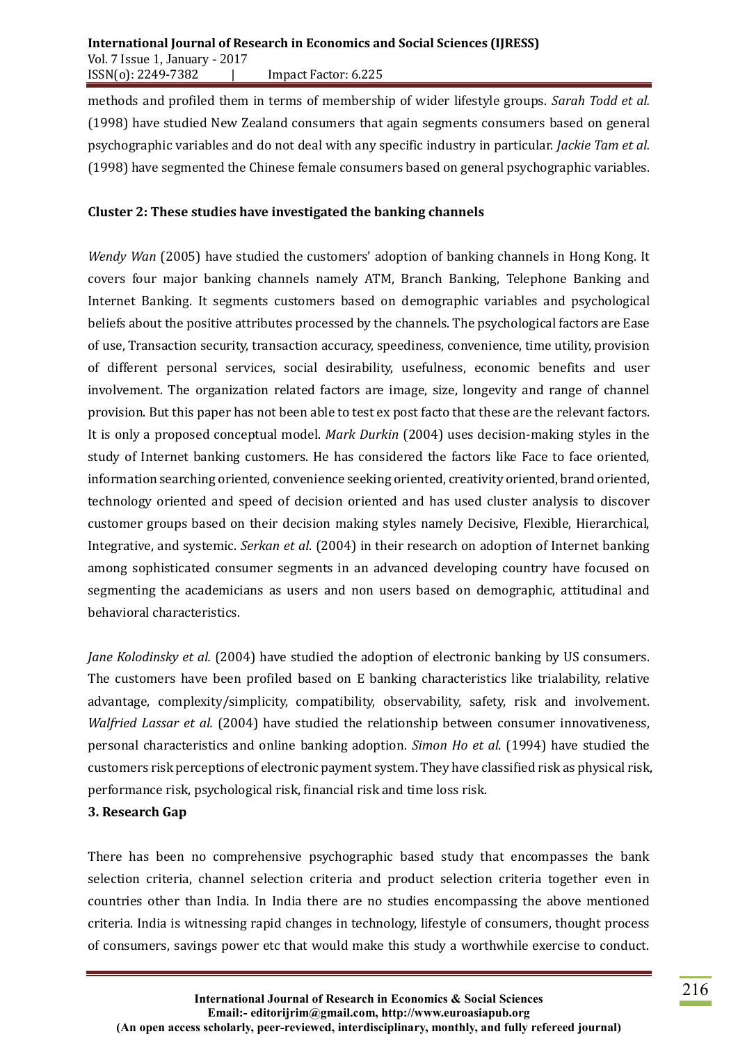methods and profiled them in terms of membership of wider lifestyle groups. *Sarah Todd et al.*  (1998) have studied New Zealand consumers that again segments consumers based on general psychographic variables and do not deal with any specific industry in particular. *Jackie Tam et al.*  (1998) have segmented the Chinese female consumers based on general psychographic variables.

#### **Cluster 2: These studies have investigated the banking channels**

*Wendy Wan* (2005) have studied the customers' adoption of banking channels in Hong Kong. It covers four major banking channels namely ATM, Branch Banking, Telephone Banking and Internet Banking. It segments customers based on demographic variables and psychological beliefs about the positive attributes processed by the channels. The psychological factors are Ease of use, Transaction security, transaction accuracy, speediness, convenience, time utility, provision of different personal services, social desirability, usefulness, economic benefits and user involvement. The organization related factors are image, size, longevity and range of channel provision. But this paper has not been able to test ex post facto that these are the relevant factors. It is only a proposed conceptual model. *Mark Durkin* (2004) uses decision-making styles in the study of Internet banking customers. He has considered the factors like Face to face oriented, information searching oriented, convenience seeking oriented, creativity oriented, brand oriented, technology oriented and speed of decision oriented and has used cluster analysis to discover customer groups based on their decision making styles namely Decisive, Flexible, Hierarchical, Integrative, and systemic. *Serkan et al*. (2004) in their research on adoption of Internet banking among sophisticated consumer segments in an advanced developing country have focused on segmenting the academicians as users and non users based on demographic, attitudinal and behavioral characteristics.

*Jane Kolodinsky et al.* (2004) have studied the adoption of electronic banking by US consumers. The customers have been profiled based on E banking characteristics like trialability, relative advantage, complexity/simplicity, compatibility, observability, safety, risk and involvement. *Walfried Lassar et al.* (2004) have studied the relationship between consumer innovativeness, personal characteristics and online banking adoption. *Simon Ho et al.* (1994) have studied the customers risk perceptions of electronic payment system. They have classified risk as physical risk, performance risk, psychological risk, financial risk and time loss risk.

#### **3. Research Gap**

There has been no comprehensive psychographic based study that encompasses the bank selection criteria, channel selection criteria and product selection criteria together even in countries other than India. In India there are no studies encompassing the above mentioned criteria. India is witnessing rapid changes in technology, lifestyle of consumers, thought process of consumers, savings power etc that would make this study a worthwhile exercise to conduct.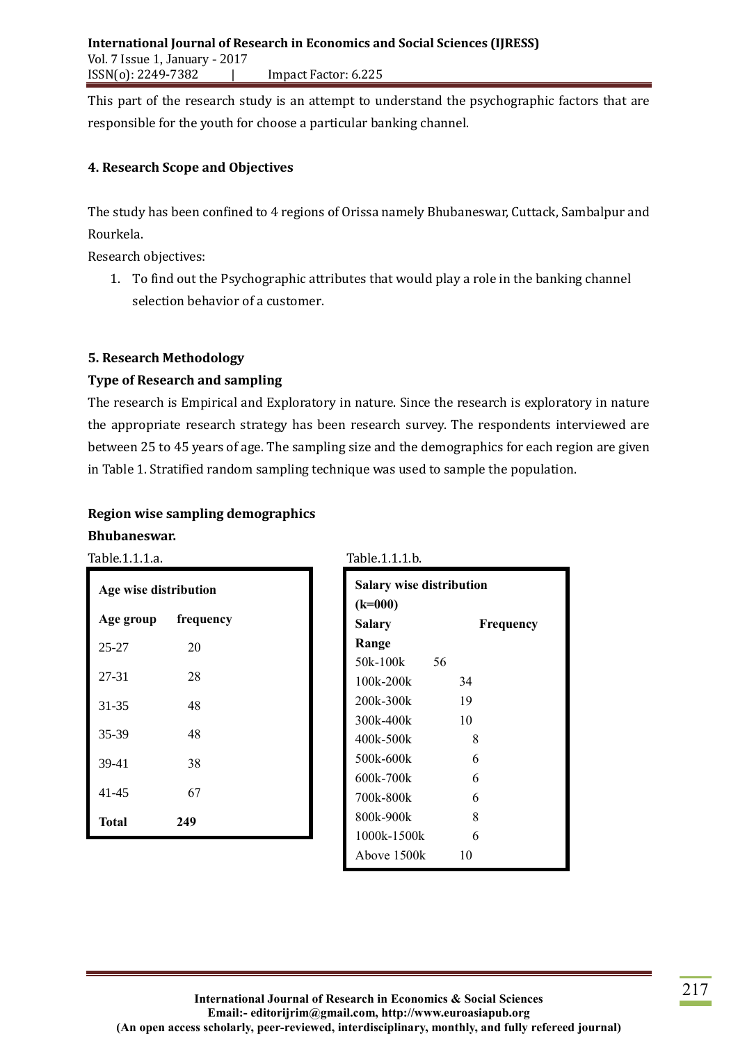This part of the research study is an attempt to understand the psychographic factors that are responsible for the youth for choose a particular banking channel.

#### **4. Research Scope and Objectives**

The study has been confined to 4 regions of Orissa namely Bhubaneswar, Cuttack, Sambalpur and Rourkela.

Research objectives:

1. To find out the Psychographic attributes that would play a role in the banking channel selection behavior of a customer.

#### **5. Research Methodology**

#### **Type of Research and sampling**

The research is Empirical and Exploratory in nature. Since the research is exploratory in nature the appropriate research strategy has been research survey. The respondents interviewed are between 25 to 45 years of age. The sampling size and the demographics for each region are given in Table 1. Stratified random sampling technique was used to sample the population.

# **Region wise sampling demographics**

# **Bhubaneswar.**

Table.1.1.1.a. Table.1.1.1.b.

| Age wise distribution |           |  |
|-----------------------|-----------|--|
| Age group             | frequency |  |
| $25 - 27$             | 20        |  |
| 27-31                 | 28        |  |
| 31-35                 | 48        |  |
| 35-39                 | 48        |  |
| 39-41                 | 38        |  |
| 41-45                 | 67        |  |
| Total                 | 249       |  |

| <b>Salary wise distribution</b> |           |
|---------------------------------|-----------|
| $(k=000)$                       |           |
| Salary                          | Frequency |
| Range                           |           |
| 50k-100k                        | 56        |
| $100k - 200k$                   | 34        |
| 200k-300k                       | 19        |
| 300k-400k                       | 10        |
| 400k-500k                       | 8         |
| 500k-600k                       | 6         |
| 600k-700k                       | 6         |
| 700k-800k                       | 6         |
| 800k-900k                       | 8         |
| 1000k-1500k                     | 6         |
| Above 1500k                     | 10        |
|                                 |           |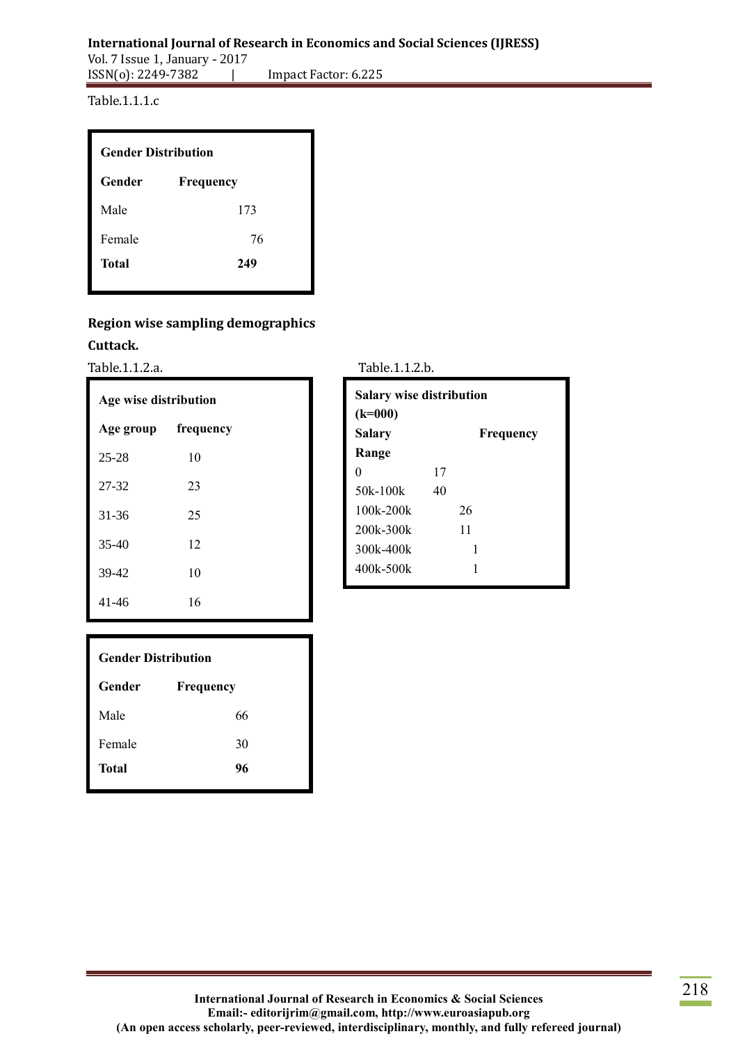Table.1.1.1.c

| <b>Gender Distribution</b> |           |
|----------------------------|-----------|
| Gender                     | Frequency |
| Male                       | 173       |
| Female                     | 76        |
| Total                      | 249       |
|                            |           |

## **Region wise sampling demographics**

#### **Cuttack.**

Table.1.1.2.a.

| Age wise distribution |           |  |
|-----------------------|-----------|--|
| Age group             | frequency |  |
| $25 - 28$             | 10        |  |
| 27-32                 | 23        |  |
| 31-36                 | 25        |  |
| $35-40$               | 12        |  |
| 39-42                 | 10        |  |
| 41-46                 | 16        |  |

| <b>Salary wise distribution</b><br>$(k=000)$ |           |  |
|----------------------------------------------|-----------|--|
| <b>Salary</b>                                | Frequency |  |
| Range                                        |           |  |
| $\mathbf{0}$                                 | 17        |  |
| 50k-100k                                     | 40        |  |
| $100k - 200k$                                | 26        |  |
| 200k-300k                                    | 11        |  |
| 300k-400k                                    | 1         |  |
| 400k-500k                                    | 1         |  |

| <b>Gender Distribution</b> |           |
|----------------------------|-----------|
| Gender                     | Frequency |
| Male                       | 66        |
| Female                     | 30        |
| <b>Total</b>               | 96        |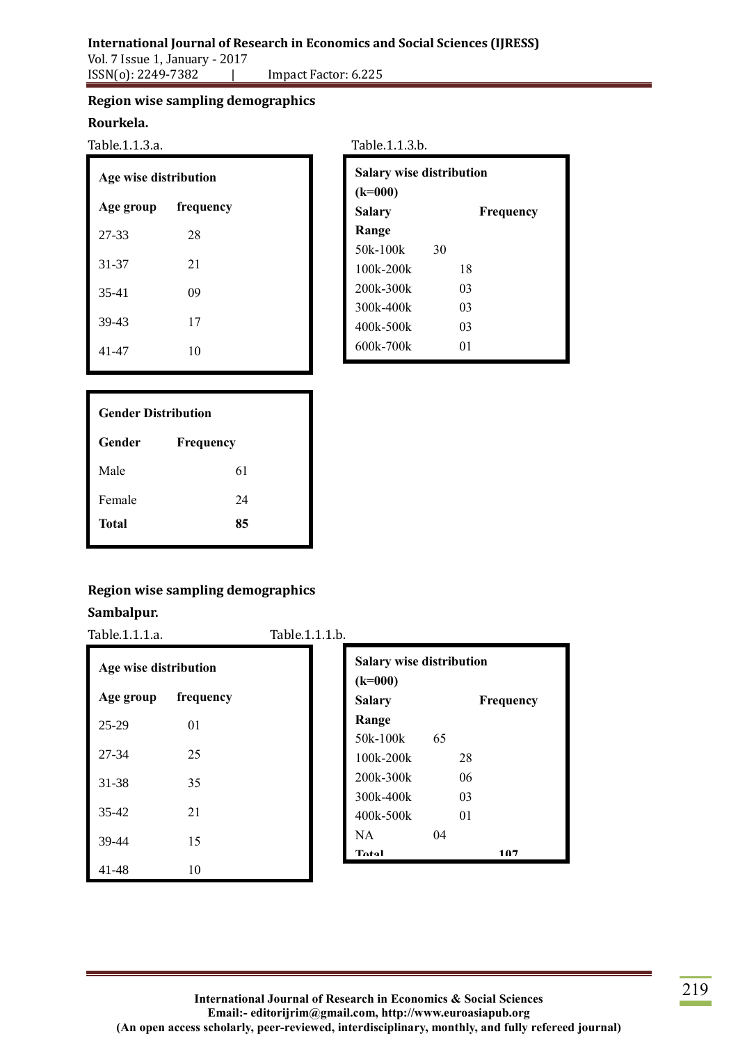# **International Journal of Research in Economics and Social Sciences (IJRESS)**

Vol. 7 Issue 1, January - 2017 ISSN(o): 2249-7382 | Impact Factor: 6.225

## **Region wise sampling demographics**

#### **Rourkela.**

Table.1.1.3.a.

| Age wise distribution |           |  |
|-----------------------|-----------|--|
| Age group             | frequency |  |
| 27-33                 | 28        |  |
| 31-37                 | 21        |  |
| 35-41                 | 09        |  |
| 39-43                 | 17        |  |
| 41-47                 | 10        |  |

| Table.1.1.3.b. |  |  |
|----------------|--|--|
|                |  |  |

| <b>Salary wise distribution</b><br>$(k=000)$ |    |           |
|----------------------------------------------|----|-----------|
| Salary                                       |    | Frequency |
| Range                                        |    |           |
| 50k-100k                                     | 30 |           |
| $100k - 200k$                                |    | 18        |
| 200k-300k                                    |    | 03        |
| 300k-400k                                    |    | 03        |
| 400k-500k                                    |    | 03        |
| 600k-700k                                    |    | 01        |
|                                              |    |           |

| <b>Gender Distribution</b> |           |  |
|----------------------------|-----------|--|
| Gender                     | Frequency |  |
| Male                       | 61        |  |
| Female                     | 24        |  |
| Total                      | 85        |  |

# **Region wise sampling demographics**

## **Sambalpur.**

Table.1.1.1.a. Table.1.1.1.b.

| Age wise distribution |           |
|-----------------------|-----------|
| Age group             | frequency |
| 25-29                 | 01        |
| 27-34                 | 25        |
| 31-38                 | 35        |
| $35 - 42$             | 21        |
| 39-44                 | 15        |
| 41-48                 | 10        |

| <b>Salary wise distribution</b><br>$(k=000)$ |    |           |  |
|----------------------------------------------|----|-----------|--|
| <b>Salary</b>                                |    | Frequency |  |
| Range                                        |    |           |  |
| $50k-100k$                                   | 65 |           |  |
| $100k - 200k$                                |    | 28        |  |
| 200k-300k                                    |    | 06        |  |
| 300k-400k                                    |    | 03        |  |
| 400k-500k                                    |    | 01        |  |
| NA.                                          | 04 |           |  |
| $T_{\alpha}$ tal                             |    |           |  |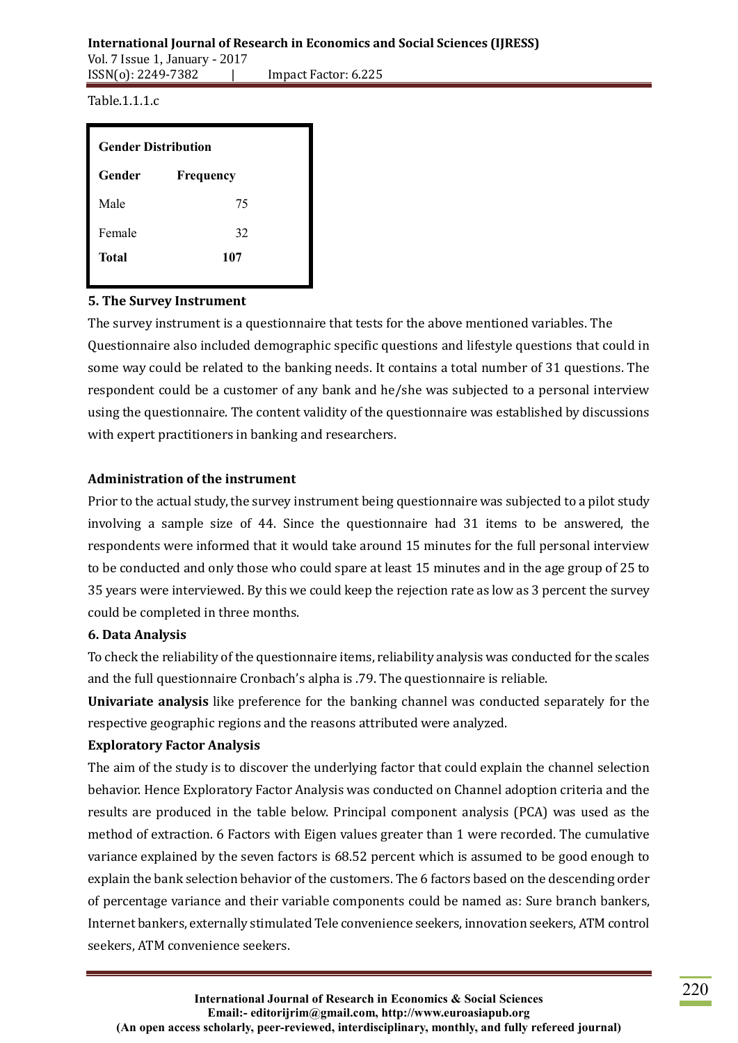#### **International Journal of Research in Economics and Social Sciences (IJRESS)** Vol. 7 Issue 1, January - 2017

ISSN(o): 2249-7382 | Impact Factor: 6.225

Table.1.1.1.c

| <b>Gender Distribution</b> |           |  |
|----------------------------|-----------|--|
| Gender                     | Frequency |  |
| Male                       | 75        |  |
| Female                     | 32        |  |
| 107<br>Total               |           |  |
|                            |           |  |

## **5. The Survey Instrument**

The survey instrument is a questionnaire that tests for the above mentioned variables. The Questionnaire also included demographic specific questions and lifestyle questions that could in some way could be related to the banking needs. It contains a total number of 31 questions. The respondent could be a customer of any bank and he/she was subjected to a personal interview using the questionnaire. The content validity of the questionnaire was established by discussions with expert practitioners in banking and researchers.

# **Administration of the instrument**

Prior to the actual study, the survey instrument being questionnaire was subjected to a pilot study involving a sample size of 44. Since the questionnaire had 31 items to be answered, the respondents were informed that it would take around 15 minutes for the full personal interview to be conducted and only those who could spare at least 15 minutes and in the age group of 25 to 35 years were interviewed. By this we could keep the rejection rate as low as 3 percent the survey could be completed in three months.

## **6. Data Analysis**

To check the reliability of the questionnaire items, reliability analysis was conducted for the scales and the full questionnaire Cronbach's alpha is .79. The questionnaire is reliable.

**Univariate analysis** like preference for the banking channel was conducted separately for the respective geographic regions and the reasons attributed were analyzed.

## **Exploratory Factor Analysis**

The aim of the study is to discover the underlying factor that could explain the channel selection behavior. Hence Exploratory Factor Analysis was conducted on Channel adoption criteria and the results are produced in the table below. Principal component analysis (PCA) was used as the method of extraction. 6 Factors with Eigen values greater than 1 were recorded. The cumulative variance explained by the seven factors is 68.52 percent which is assumed to be good enough to explain the bank selection behavior of the customers. The 6 factors based on the descending order of percentage variance and their variable components could be named as: Sure branch bankers, Internet bankers, externally stimulated Tele convenience seekers, innovation seekers, ATM control seekers, ATM convenience seekers.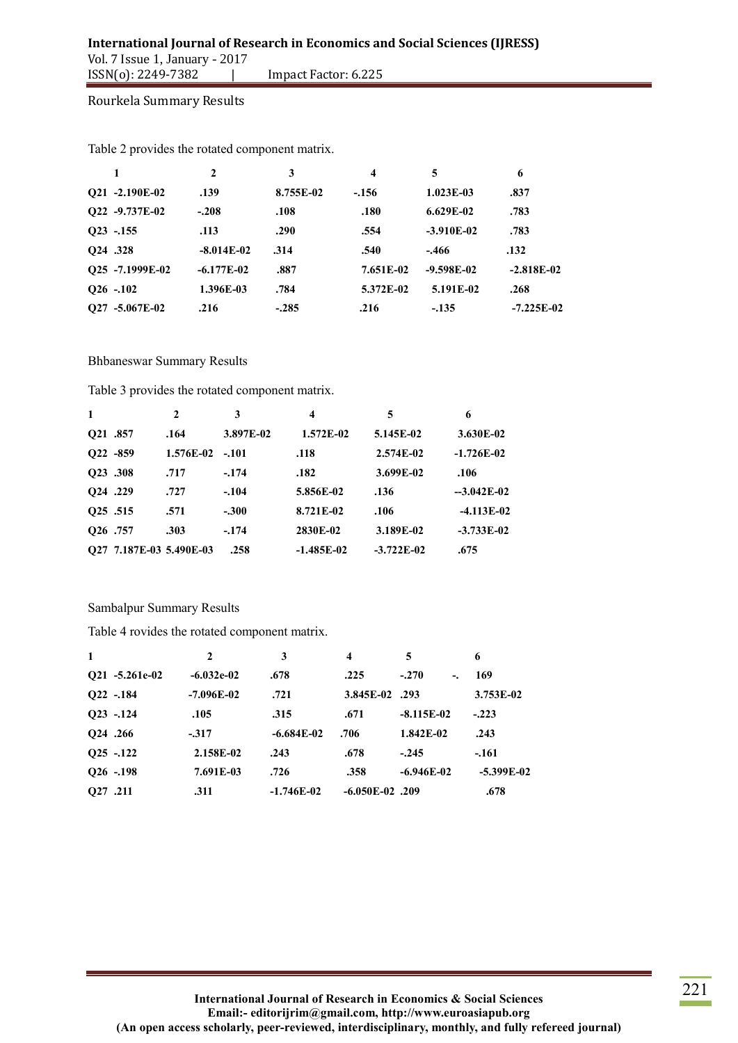Rourkela Summary Results

|                               | $\mathbf{2}$ | 3         | $\boldsymbol{4}$ | 5            | 6            |
|-------------------------------|--------------|-----------|------------------|--------------|--------------|
| Q21 -2.190E-02                | .139         | 8.755E-02 | $-156$           | $1.023E-03$  | .837         |
| Q22 -9.737E-02                | $-.208$      | .108      | .180             | $6.629E-02$  | .783         |
| $Q23 - 155$                   | .113         | .290      | .554             | $-3.910E-02$ | .783         |
| <b>O24</b> .328               | $-8.014E-02$ | .314      | .540             | $-.466$      | .132         |
| Q25 -7.1999E-02               | $-6.177E-02$ | .887      | 7.651E-02        | $-9.598E-02$ | $-2.818E-02$ |
| $Q26 - 102$                   | 1.396E-03    | .784      | 5.372E-02        | 5.191E-02    | .268         |
| -5.067E-02<br>O <sub>27</sub> | .216         | $-.285$   | .216             | $-135$       | $-7.225E-02$ |

Table 2 provides the rotated component matrix.

#### Bhbaneswar Summary Results

Table 3 provides the rotated component matrix.

| $\mathbf{1}$         |                         | 2         | 3         | 4            | 5            | 6            |
|----------------------|-------------------------|-----------|-----------|--------------|--------------|--------------|
| <b>O21 .857</b>      |                         | .164      | 3.897E-02 | 1.572E-02    | 5.145E-02    | 3.630E-02    |
| $O22 - 859$          |                         | 1.576E-02 | $-.101$   | .118         | 2.574E-02    | $-1.726E-02$ |
| O23 .308             |                         | .717      | $-.174$   | .182         | 3.699E-02    | .106         |
| Q24 .229             |                         | .727      | $-.104$   | 5.856E-02    | .136         | $-3.042E-02$ |
| 025.515              |                         | .571      | $-.300$   | 8.721E-02    | .106         | $-4.113E-02$ |
| O <sub>26</sub> .757 |                         | .303      | $-.174$   | 2830E-02     | 3.189E-02    | $-3.733E-02$ |
|                      | O27 7.187E-03 5.490E-03 |           | .258      | $-1.485E-02$ | $-3.722E-02$ | .675         |

#### Sambalpur Summary Results

Table 4 rovides the rotated component matrix.

| $\mathbf{1}$         | $\mathbf{2}$ | 3            | 4                 | 5                                     | 6            |
|----------------------|--------------|--------------|-------------------|---------------------------------------|--------------|
| O21 -5.261e-02       | $-6.032e-02$ | .678         | .225              | $-.270$<br>$\overline{\phantom{a}}$ . | 169          |
| $O22 - 184$          | $-7.096E-02$ | .721         | 3.845E-02 .293    |                                       | $3.753E-02$  |
| $Q23 - 124$          | .105         | .315         | .671              | $-8.115E-02$                          | $-.223$      |
| <b>O24</b> .266      | $-317$       | $-6.684E-02$ | .706              | 1.842E-02                             | .243         |
| $Q25 - 122$          | 2.158E-02    | .243         | .678              | $-.245$                               | $-.161$      |
| $Q26 - 198$          | 7.691E-03    | .726         | .358              | $-6.946E-02$                          | $-5.399E-02$ |
| O <sub>27</sub> .211 | .311         | $-1.746E-02$ | $-6.050E-02$ .209 |                                       | .678         |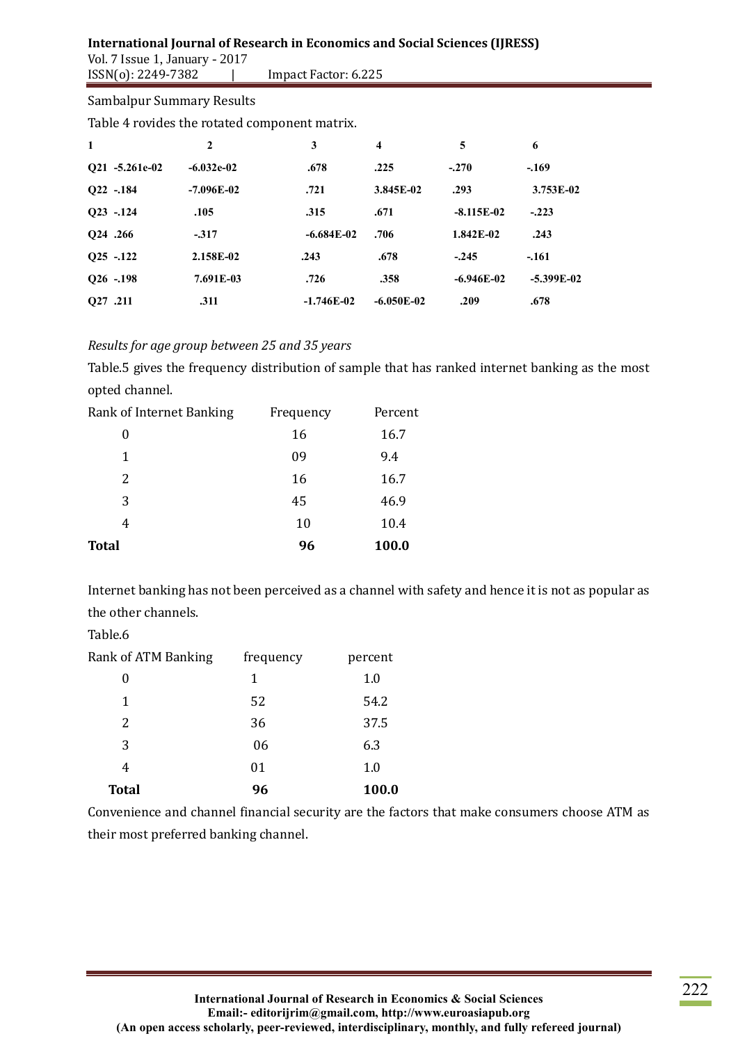# **International Journal of Research in Economics and Social Sciences (IJRESS)**

Vol. 7 Issue 1, January - 2017<br>ISSN(0): 2249-7382 | Impact Factor: 6.225

#### Sambalpur Summary Results

Table 4 rovides the rotated component matrix.

| $\mathbf{1}$    | $\mathbf{2}$ | 3            | 4            | 5            | 6            |
|-----------------|--------------|--------------|--------------|--------------|--------------|
| O21 -5.261e-02  | $-6.032e-02$ | .678         | .225         | $-.270$      | $-.169$      |
| $Q22 - 184$     | $-7.096E-02$ | .721         | 3.845E-02    | .293         | $3.753E-02$  |
| $Q23 - 124$     | .105         | .315         | .671         | $-8.115E-02$ | $-.223$      |
| <b>O24</b> .266 | $-317$       | $-6.684E-02$ | .706         | 1.842E-02    | .243         |
| $Q25 - 122$     | 2.158E-02    | .243         | .678         | $-.245$      | $-.161$      |
| $Q26 - 198$     | 7.691E-03    | .726         | .358         | $-6.946E-02$ | $-5.399E-02$ |
| <b>O27</b> .211 | .311         | $-1.746E-02$ | $-6.050E-02$ | .209         | .678         |

# *Results for age group between 25 and 35 years*

Table.5 gives the frequency distribution of sample that has ranked internet banking as the most opted channel.

| Rank of Internet Banking | Frequency | Percent |
|--------------------------|-----------|---------|
| 0                        | 16        | 16.7    |
| 1                        | 09        | 9.4     |
| 2                        | 16        | 16.7    |
| 3                        | 45        | 46.9    |
| 4                        | 10        | 10.4    |
| <b>Total</b>             | 96        | 100.0   |

Internet banking has not been perceived as a channel with safety and hence it is not as popular as the other channels.

Table.6

| <b>Rank of ATM Banking</b> | frequency | percent |
|----------------------------|-----------|---------|
| 0                          | 1         | 1.0     |
| 1                          | 52        | 54.2    |
| 2                          | 36        | 37.5    |
| 3                          | 06        | 6.3     |
| 4                          | 01        | 1.0     |
| <b>Total</b>               | 96        | 100.0   |

Convenience and channel financial security are the factors that make consumers choose ATM as their most preferred banking channel.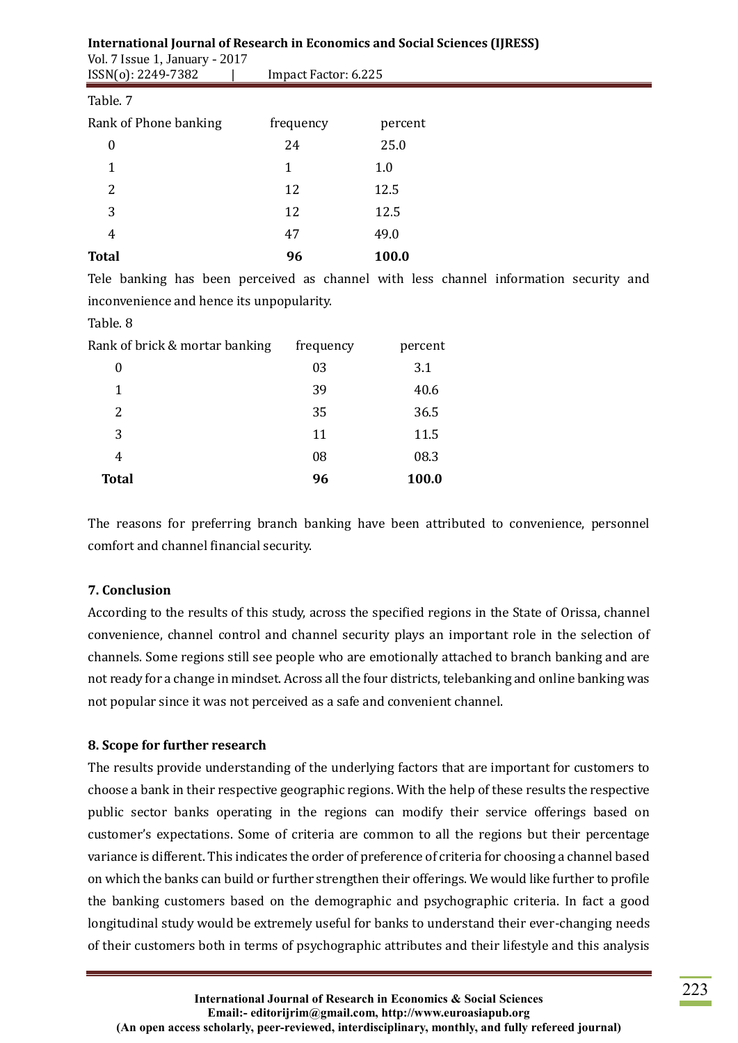| <b>International Journal of Research in Economics and Social Sciences (IJRESS)</b><br>Vol. 7 Issue 1, January - 2017 |                      |         |  |  |
|----------------------------------------------------------------------------------------------------------------------|----------------------|---------|--|--|
| ISSN(0): 2249-7382                                                                                                   | Impact Factor: 6.225 |         |  |  |
| Table. 7                                                                                                             |                      |         |  |  |
| Rank of Phone banking                                                                                                | frequency            | percent |  |  |
| $\boldsymbol{0}$                                                                                                     | 24                   | 25.0    |  |  |
|                                                                                                                      | 1                    | 1.0     |  |  |
| 2                                                                                                                    | 12                   | 12.5    |  |  |
| 3                                                                                                                    | 12                   | 12.5    |  |  |
| $\overline{4}$                                                                                                       | 47                   | 49.0    |  |  |
| <b>Total</b>                                                                                                         | 96                   | 100.0   |  |  |

Tele banking has been perceived as channel with less channel information security and inconvenience and hence its unpopularity.

#### Table. 8

| Rank of brick & mortar banking | frequency | percent |
|--------------------------------|-----------|---------|
| 0                              | 03        | 3.1     |
| 1                              | 39        | 40.6    |
| 2                              | 35        | 36.5    |
| 3                              | 11        | 11.5    |
| 4                              | 08        | 08.3    |
| <b>Total</b>                   | 96        | 100.0   |

The reasons for preferring branch banking have been attributed to convenience, personnel comfort and channel financial security.

#### **7. Conclusion**

According to the results of this study, across the specified regions in the State of Orissa, channel convenience, channel control and channel security plays an important role in the selection of channels. Some regions still see people who are emotionally attached to branch banking and are not ready for a change in mindset. Across all the four districts, telebanking and online banking was not popular since it was not perceived as a safe and convenient channel.

## **8. Scope for further research**

The results provide understanding of the underlying factors that are important for customers to choose a bank in their respective geographic regions. With the help of these results the respective public sector banks operating in the regions can modify their service offerings based on customer's expectations. Some of criteria are common to all the regions but their percentage variance is different. This indicates the order of preference of criteria for choosing a channel based on which the banks can build or further strengthen their offerings. We would like further to profile the banking customers based on the demographic and psychographic criteria. In fact a good longitudinal study would be extremely useful for banks to understand their ever-changing needs of their customers both in terms of psychographic attributes and their lifestyle and this analysis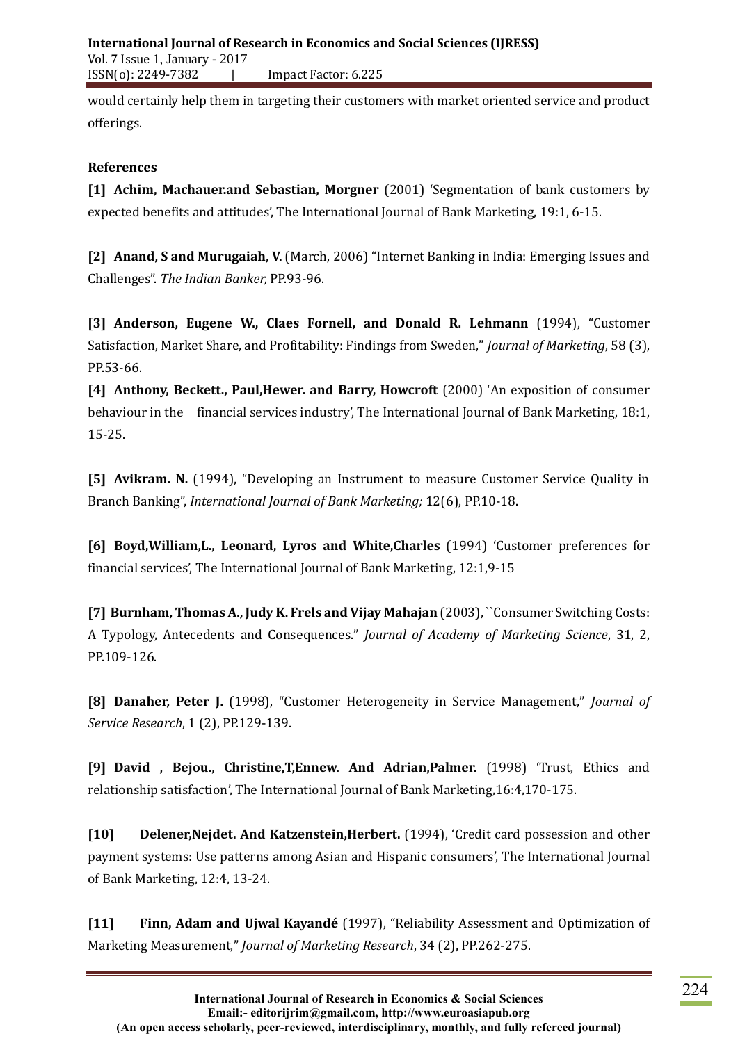would certainly help them in targeting their customers with market oriented service and product offerings.

# **References**

**[1] Achim, Machauer.and Sebastian, Morgner** (2001) 'Segmentation of bank customers by expected benefits and attitudes', The International Journal of Bank Marketing, 19:1, 6-15.

**[2] Anand, S and Murugaiah, V.** (March, 2006) "Internet Banking in India: Emerging Issues and Challenges". *The Indian Banker,* PP.93-96.

**[3] Anderson, Eugene W., Claes Fornell, and Donald R. Lehmann** (1994), "Customer Satisfaction, Market Share, and Profitability: Findings from Sweden," *Journal of Marketing*, 58 (3), PP.53-66.

**[4] Anthony, Beckett., Paul,Hewer. and Barry, Howcroft** (2000) 'An exposition of consumer behaviour in the financial services industry', The International Journal of Bank Marketing, 18:1, 15-25.

**[5] Avikram. N.** (1994), "Developing an Instrument to measure Customer Service Quality in Branch Banking", *International Journal of Bank Marketing;* 12(6), PP.10-18.

**[6] Boyd,William,L., Leonard, Lyros and White,Charles** (1994) 'Customer preferences for financial services', The International Journal of Bank Marketing, 12:1,9-15

**[7] Burnham, Thomas A., Judy K. Frels and Vijay Mahajan** (2003), ``Consumer Switching Costs: A Typology, Antecedents and Consequences." *Journal of Academy of Marketing Science*, 31, 2, PP.109-126.

**[8] Danaher, Peter J.** (1998), "Customer Heterogeneity in Service Management," *Journal of Service Research*, 1 (2), PP.129-139.

**[9] David , Bejou., Christine,T,Ennew. And Adrian,Palmer.** (1998) 'Trust, Ethics and relationship satisfaction', The International Journal of Bank Marketing,16:4,170-175.

**[10] Delener,Nejdet. And Katzenstein,Herbert.** (1994), 'Credit card possession and other payment systems: Use patterns among Asian and Hispanic consumers', The International Journal of Bank Marketing, 12:4, 13-24.

**[11] Finn, Adam and Ujwal Kayandé** (1997), "Reliability Assessment and Optimization of Marketing Measurement," *Journal of Marketing Research*, 34 (2), PP.262-275.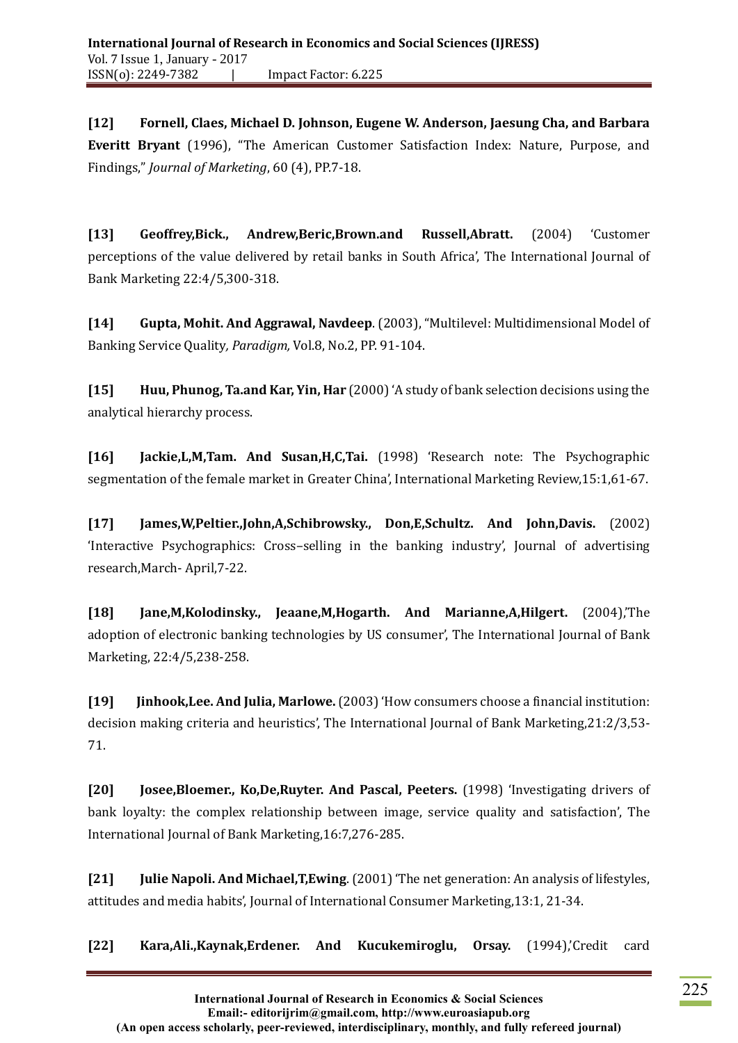**[12] Fornell, Claes, Michael D. Johnson, Eugene W. Anderson, Jaesung Cha, and Barbara Everitt Bryant** (1996), "The American Customer Satisfaction Index: Nature, Purpose, and Findings," *Journal of Marketing*, 60 (4), PP.7-18.

**[13] Geoffrey,Bick., Andrew,Beric,Brown.and Russell,Abratt.** (2004) 'Customer perceptions of the value delivered by retail banks in South Africa', The International Journal of Bank Marketing 22:4/5,300-318.

**[14] Gupta, Mohit. And Aggrawal, Navdeep**. (2003), "Multilevel: Multidimensional Model of Banking Service Quality*, Paradigm,* Vol.8, No.2, PP. 91-104.

**[15] Huu, Phunog, Ta.and Kar, Yin, Har** (2000) 'A study of bank selection decisions using the analytical hierarchy process.

**[16] Jackie,L,M,Tam. And Susan,H,C,Tai.** (1998) 'Research note: The Psychographic segmentation of the female market in Greater China', International Marketing Review,15:1,61-67.

**[17] James,W,Peltier.,John,A,Schibrowsky., Don,E,Schultz. And John,Davis.** (2002) 'Interactive Psychographics: Cross–selling in the banking industry', Journal of advertising research,March- April,7-22.

**[18] Jane,M,Kolodinsky., Jeaane,M,Hogarth. And Marianne,A,Hilgert.** (2004),'The adoption of electronic banking technologies by US consumer', The International Journal of Bank Marketing, 22:4/5,238-258.

**[19] Jinhook,Lee. And Julia, Marlowe.**(2003) 'How consumers choose a financial institution: decision making criteria and heuristics', The International Journal of Bank Marketing,21:2/3,53- 71.

**[20] Josee,Bloemer., Ko,De,Ruyter. And Pascal, Peeters.** (1998) 'Investigating drivers of bank loyalty: the complex relationship between image, service quality and satisfaction', The International Journal of Bank Marketing,16:7,276-285.

**[21] Julie Napoli. And Michael,T,Ewing**. (2001) 'The net generation: An analysis of lifestyles, attitudes and media habits', Journal of International Consumer Marketing,13:1, 21-34.

**[22] Kara,Ali.,Kaynak,Erdener. And Kucukemiroglu, Orsay.** (1994),'Credit card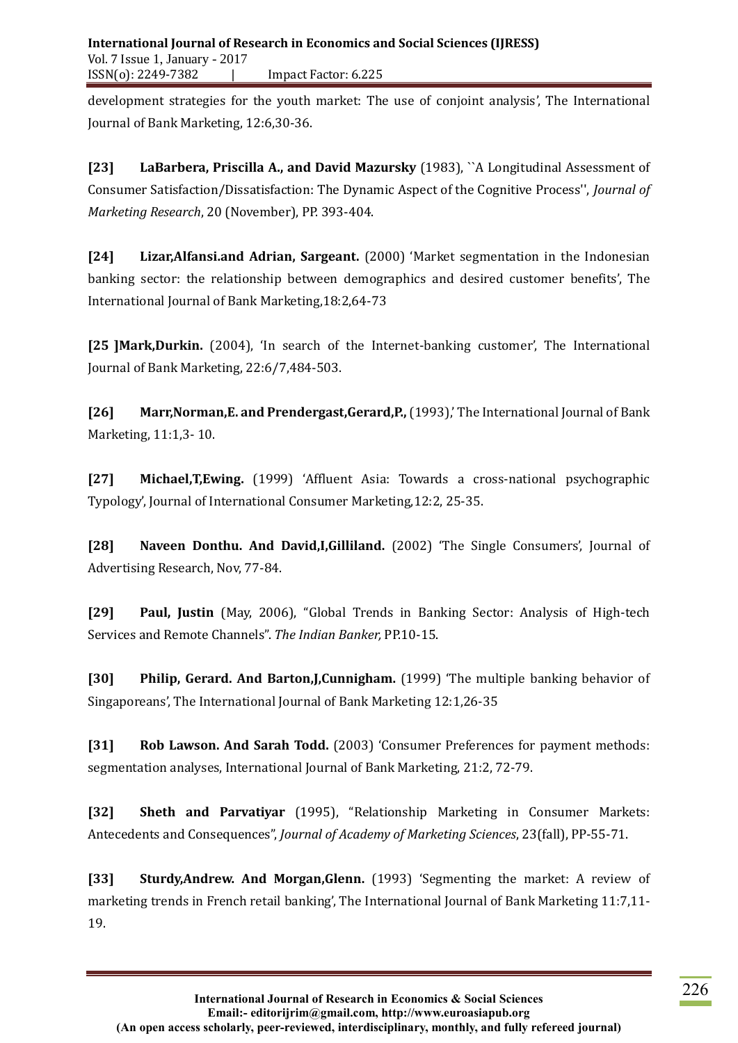development strategies for the youth market: The use of conjoint analysis', The International Journal of Bank Marketing, 12:6,30-36.

**[23] LaBarbera, Priscilla A., and David Mazursky** (1983), ``A Longitudinal Assessment of Consumer Satisfaction/Dissatisfaction: The Dynamic Aspect of the Cognitive Process'', *Journal of Marketing Research*, 20 (November), PP. 393-404.

**[24] Lizar,Alfansi.and Adrian, Sargeant.** (2000) 'Market segmentation in the Indonesian banking sector: the relationship between demographics and desired customer benefits', The International Journal of Bank Marketing,18:2,64-73

**[25 ]Mark,Durkin.** (2004), 'In search of the Internet-banking customer', The International Journal of Bank Marketing, 22:6/7,484-503.

**[26] Marr,Norman,E. and Prendergast,Gerard,P.,**(1993),' The International Journal of Bank Marketing, 11:1,3- 10.

**[27] Michael,T,Ewing.** (1999) 'Affluent Asia: Towards a cross-national psychographic Typology', Journal of International Consumer Marketing,12:2, 25-35.

**[28] Naveen Donthu. And David,I,Gilliland.** (2002) 'The Single Consumers', Journal of Advertising Research, Nov, 77-84.

**[29] Paul, Justin** (May, 2006), "Global Trends in Banking Sector: Analysis of High-tech Services and Remote Channels". *The Indian Banker,* PP.10-15.

**[30] Philip, Gerard. And Barton,J,Cunnigham.** (1999) 'The multiple banking behavior of Singaporeans', The International Journal of Bank Marketing 12:1,26-35

**[31] Rob Lawson. And Sarah Todd.** (2003) 'Consumer Preferences for payment methods: segmentation analyses, International Journal of Bank Marketing, 21:2, 72-79.

**[32] Sheth and Parvatiyar** (1995), "Relationship Marketing in Consumer Markets: Antecedents and Consequences", *Journal of Academy of Marketing Sciences*, 23(fall), PP-55-71.

**[33] Sturdy,Andrew. And Morgan,Glenn.** (1993) 'Segmenting the market: A review of marketing trends in French retail banking', The International Journal of Bank Marketing 11:7,11- 19.